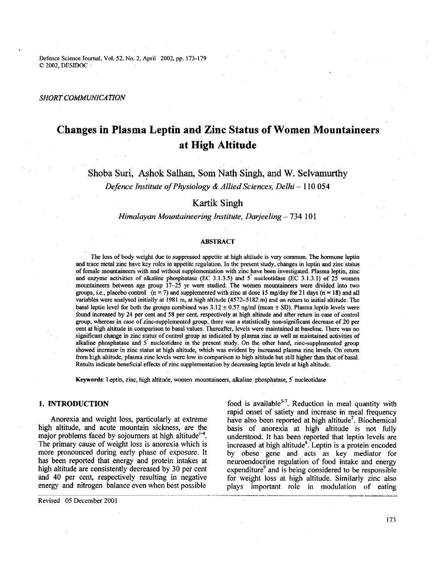Defence Science loumal, Vol. 52, No. 2, April 2002, pp. 173-179 O 2002, DESIDOC

#### *SHORT COMMUNICATION*

# **Changes in Plasma Leptin and Zinc Status of Women Mountaineers at High Altitude**

Shoba Suri, Ashok Salhan, Som Nath Singh, and W. Selvamurthy *Defence Institute of Physiology & Allied Sciences, Delhi* - 110 054

# **Kartik** Singh

## *Himalayan Mountaineering Institute, Darjeeling* - 734 101

#### **ABSTRACT**

The loss of body weight due to suppressed appetite at high altitude is very common. The hormone leptin and trace metal zinc have key roles in appetite regulation. In the present study, changes in leptin and zinc status of female mountaineers with and without supplementation with zinc have been investigated. Plasma leptin, zinc and enzyme activities of alkaline phosphatase (EC 3.1.3.5) and 5 nucleotidase (EC 3.1.3.1) of 25 women mountaineers between age gmup 17-25 **yr** were studied. The women mountaineers were divided into two groups, i.e., placebo control  $(n = 7)$  and supplemented with zinc at dose 15 mg/day for 21 days  $(n = 18)$  and all variables were analysed initially at 1981 m, at high altitude (4572-5182 m) and on return to initial altitude. The basal leptin level for both the groups combined was  $3.12 \pm 0.57$  ng/ml (mean  $\pm$  SD). Plasma leptin levels were found increased by 24 per cent and 58 per cent, respectively at high altitude and after return in case of control group, whereas in case of zinc-supplemented group, there was a statistically non-significant decrease of 20 per cent at high altitude in comparison to basal values. Thereafter, levels were maintained at baseline. There was no significant change in zinc status of control group as indicated by plasma zinc as well as maintained activities of alkaline phosphatase and 5 nucleotidase in the present study. On the other hand, zinc-supplemented group showed increase in zinc status at high altitude, which was evident by increased plasma zinc levels. On return from high altitude, plasma zinc levels were low in comparison to high altitude but still higher than that of basal. Results indicate beneficial effects of zinc supplementation by decreasing leptin levels at high altitude.

Keywords: Leptin, zinc, high altitude, women mountaineers, alkaline phosphatase, 5' nucleotidase

## **1. INTRODUCTION**

Anorexia and weight loss, particularly at extreme high altitude, and acute mountain sickness, are the major problems faced by sojourners at high altitude<sup>1-4</sup>. The primary cause of weight loss is anorexia which is more pronounced during early phase of exposure. It has been reported that energy and protein intakes at high altitude are consistently decreased by **30** per cent and 40 per cent, respectively resulting in negative energy and nitrogen balance even when best possible

food is available<sup>5-7</sup>. Reduction in meal quantity with rapid onset of satiety and increase in meal frequency have also been reported at high altitude<sup>7</sup>. Biochemical basis of anorexia at high altitude is not fully understood. It has been reported that leptin levels are increased at high altitude<sup>8</sup>. Leptin is a protein encoded by obese gene and acts as key mediator for neuroendocrine regulation of food intake and energy expenditure<sup>9</sup> and is being considered to be responsible for weight loss at high altitude. Similarly zinc also plays important role in modulation of eating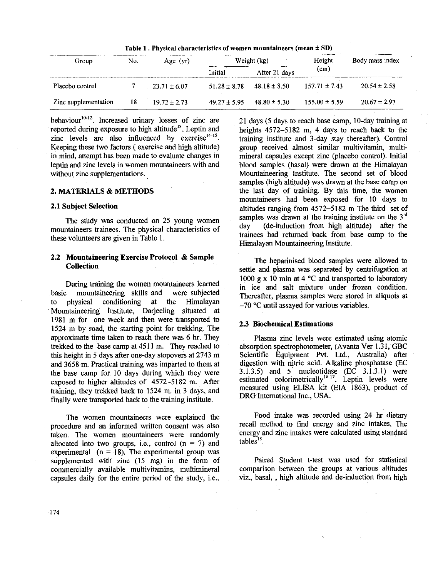| Table 1. Physical characteristics of women mountaineers (mean $\pm$ SD) |     |                  |                  |                  |                   |                  |  |
|-------------------------------------------------------------------------|-----|------------------|------------------|------------------|-------------------|------------------|--|
| Group                                                                   | No. | Age $(yr)$       | Weight (kg)      |                  | Height            | Body mass index  |  |
|                                                                         |     |                  | Initial          | After 21 days    | (cm)              |                  |  |
| Placebo control                                                         |     | $23.71 \pm 6.07$ | $51.28 \pm 8.78$ | $48.18 \pm 8.50$ | $157.71 \pm 7.43$ | $20.54 \pm 2.58$ |  |
| Zinc supplementation                                                    | 18  | $19.72 \pm 2.73$ | $49.27 \pm 5.95$ | $48.80 \pm 5.30$ | $155.00 \pm 5.59$ | $20.67 \pm 2.97$ |  |

behaviour<sup>10-12</sup>. Increased urinary losses of zinc are reported during exposure to high altitude<sup>13</sup>. Leptin and zinc levels are also influenced by exercise $14-15$ . Keeping these two factors ( exercise and high altitude) in mind, attempt has been made to evaluate changes in leptin and zinc levels in women mountaineers with and without zinc supplementations.

## 2. MATERIALS & METHODS

## 2.1 Subject Selection

The study was conducted on 25 young women mountaineers trainees. The physical characteristics of these volunteers are given in Table 1.

## 2.2 Mountaineering Exercise Protocol & Sample Collection

During training the women mountaineers learned basic mountaineering skills and were subjected to physical conditioning at the Himalayan .Mountaineering institute, Darjeeling situated at 1981 m for one week and then were transported to 1524 m by road, the starting point for trekking. The approximate time taken to reach there was 6 br. They trekked to the base camp at 451 1 m. They reached to this height in 5 days after one-day stopovers at 2743 m and 3658 m. Practical training was imparted to them at the base camp for 10 days during which they were exposed to higher altitudes of 4572-5182 m. After training, they trekked back to 1524 m. in 3 days, and finally were transported back to the training institute.

procedure and an informed written consent was also recall method to find energy and zinc intakes. The procedure intakes were realistic intakes were calculated using standard taken. The women mountaineers were randomly energy and zince  $\frac{1}{2}$  and  $\frac{1}{2}$  and  $\frac{1}{2}$  and  $\frac{1}{2}$  and  $\frac{1}{2}$  and  $\frac{1}{2}$  and  $\frac{1}{2}$  and  $\frac{1}{2}$  and  $\frac{1}{2}$  and  $\frac{1}{2}$  and  $\frac{1}{2}$  and  $\frac{1}{$ allocated into two groups, i.e., control  $(n = 7)$  and experimental  $(n = 18)$ . The experimental group was supplemented with zinc (15 mg) in the form of Paired Student t-test was used for statistical commercially available multivitamins, multimineral comparison between the groups at various altitudes commercially available multivitamins, multimineral comparison between the groups at various altitudes<br>capsules daily for the entire period of the study, i.e., viz., basal, high altitude and de-induction from high capsules daily for the entire period of the study, i.e.,

21 days (5 days to reach base camp, 10-day training at heights 4572-5182 m, 4 days to reach back to the training institute and 3-day stay thereafter). Control group received almost similar multivitamin, multimineral capsules except zinc (placebo control). Initial blood samples (basal) were drawn at the Himalayan Mountaineering Institute. The second set of blood samples (high altitude) was drawn at the base camp on the last day of training. By this time, the women mountaineers had been exposed for 10 days to altitudes ranging from 4572-5 182 m The third set of samples was drawn at the training institute on the  $3<sup>rd</sup>$ day (de-induction from high altitude) after the trainees had returned back from base camp to the Himalayan Mountaineering Institute.

The heparinised blood samples were allowed to settle and plasma was separated by centrihgation at 1000 g x 10 min at 4  $^{\circ}$ C and transported to laboratory in ice and salt mixture under frozen condition. Thereafter, plasma samples were stored in aliquots at  $-70$  °C until assayed for various variables.

## 2.3 Biochemical Estimations

Plasma zinc levels were estimated using atomic absorption spectrophotometer, (Avanta Ver 1.3 1, GBC Scientific Equipment **Pvt.** Ltd., Australia) after digestion with nitric acid. Alkaline phospbatase **(EC**   $3.1.3.5$ ) and  $5'$  nucleotidase (EC  $3.1.3.1$ ) were estimated colorimetrically<sup>16-17</sup>. Leptin levels were measured using ELISA kit (EIA 1863), product of DRG International Inc.. USA.

The women mountaineers were explained the Food intake was recorded using 24 hr dietary<br>educe and an informed written consent was also **hereafter** recall method to find energy and zinc intakes. The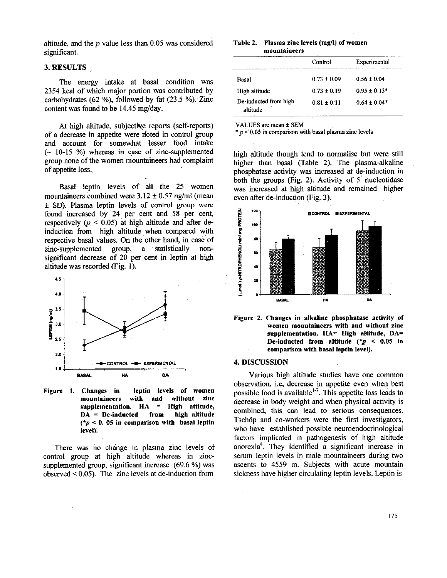altitude, and the  $p$  value less than 0.05 was considered significant.

## **3. RESULTS**

The energy intake at basal condition was 2354 kcal of which major portion was contributed by carbohydrates *(62* %), followed by fat (23.5 %). Zinc content was found to be  $14.45 \text{ mg/day}$ .

At high altitude, subjective reports (self-reports) of a decrease in appetite were noted in control group and account for somewhat lesser food intake  $(-10-15 \%)$  whereas in case of zinc-supplemented group none of the women mountaineers had complaint of appetite loss.

Basal leptin levels of all the 25 women mountaineers combined were  $3.12 \pm 0.57$  ng/ml (mean  $\pm$  SD). Plasma leptin levels of control group were found increased by 24 per cent and 58 per cent, respectively  $(p < 0.05)$  at high altitude and after deinduction from high altitude when compared with respective basal values. On the other hand, in case of zinc-supplemented group, a statistically nonzinc-supplemented group, a statistically nonsignificant decrease of 20 per cent in leptin at high altitude was recorded (Fig. **1).** 



**Figure 1. Changes in leptin levels of women mountaineers with and without zinc supplementation. HA** = **High attitude, DA** = **De-inducted from high altitude (\*p** < **0. 05 in comparison with basal leptin level).** 

There was no change in plasma zinc levels of control group at high altitude whereas in zincsupplemented group, significant increase (69.6 %) was observed < 0.05). The zinc levels at de-induction from

#### Table 2. Plasma zinc levels (mg/l) of women **mountaineers**

|                                   | Control                   | Experimental     |  |
|-----------------------------------|---------------------------|------------------|--|
| Basal                             | ٠.<br>$0.73 \pm 0.09$     | $0.56 \pm 0.04$  |  |
| High altitude                     | $0.73 + 0.19$             | $0.95 + 0.13*$   |  |
| De-inducted from high<br>altitude | $0.81 \pm 0.11$<br>------ | $0.64 \pm 0.04*$ |  |

**VALUES are mean f SEM** 

\* **p** < **0.05 in comparison with basal plasma zinc levels** 

high altitude though tend to normalise but were still higher than basal (Table 2). The plasma-alkaline phosphatase activity was increased at de-induction in both the groups (Fig. 2). Activity of  $5'$  nucleotidase was increased at high altitude and remained higher even after de-induction (Fig. 3).



**Figure 2. Changes in alkaline phosphatase activity of women mountaineers with and without zinc supplementation. HA= High altitude, DA= De-inducted from altitude (\*p** < **0.05 in comparison with basal leptin level).** 

#### **4. DISCUSSION**

Various high altitude studies have one common observation, i.e, decrease in appetite even when best possible food is available<sup> $1-7$ </sup>. This appetite loss leads to decrease in body weight and when physical activity is combined, this can lead to serious consequences. Tschöp and co-workers were the first investigators, who have established possible neuroendocrinological factors implicated in pathogenesis of high altitude anorexia8. They identified a significant increase in serum leptin levels in male mountaineers during two ascents to 4559 m. Subjects with acute mountain sickness have higher circulating leptin levels. Leptin is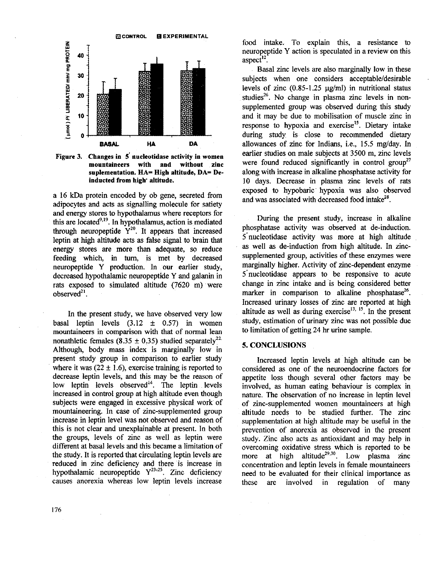

**Figure 3. Changes in 5' nucleotidase activity in women mountaineers with and without zinc**  suplementation. HA= High altitude, DA= De**inducted from high' altitude.** 

a 16 kDa protein encoded by ob gene, secreted from adipocytes and acts as signalling molecule for satiety and energy stores to hypothalamus where receptors for this are located<sup>9,19</sup>. In hypothalamus, action is mediated through neuropeptide  $Y^{20}$ . It appears that increased leptin at high altitude acts as false signal to brain that energy stores are more than adequate, so reduce feeding which, in **turn,** is met by decreased neuropeptide Y production. In our earlier study, decreased hypothalamic neuropeptide Y and galanin in rats exposed to simulated altitude (7620 m) were observed $2<sup>1</sup>$ .

In the present study, we have observed very low basal leptin levels  $(3.12 \pm 0.57)$  in women mountaineers in comparison with that of normal lean nonathletic females (8.35  $\pm$  0.35) studied separately<sup>22</sup> Although, body mass index is marginally low in present study group in comparison to earlier study where it was  $(22 \pm 1.6)$ , exercise training is reported to decrease leptin levels, and this may be the reason of low leptin levels observed $14$ . The leptin levels increased in control group at high altitude even though subjects were engaged in excessive physical work of mountaineering. In case of zinc-supplemented group increase in leptin level was not observed and reason of this is not clear and unexplainable at present. In both the groups, levels of zinc as well as leptin were different at basal levels and this became a limitation of the study. It is reported that circulating leptin levels are reduced in zinc deficiency and there is increase in hypothalamic neuropeptide  $Y^{23-25}$ . Zinc deficiency causes anorexia whereas low leptin levels increase

food intake. To explain this, a resistance to neuropeptide Y action is speculated in a review on this aspect $^{12}$ .

Basal zinc levels are also marginally low in these subjects when one considers acceptable/desirable levels of zinc  $(0.85-1.25 \text{ µg/ml})$  in nutritional status studies $^{26}$ . No change in plasma zinc levels in nonsupplemented group was observed during this study and it may be due to mobilisation of muscle zinc in response to hypoxia and exercise<sup>15</sup>. Dietary intake during study is close to recommended dietary allowances of zinc for Indians, i.e., 15.5 mg/day. In earlier studies on male subjects at 3500 m, zinc levels were found reduced significantly in control group<sup>27</sup> along with increase in alkaline phosphatase activity for 10 days. Decrease in plasma zinc levels of rats exposed to hypobaric hypoxia was also observed and was associated with decreased food intake<sup>28</sup>.

During the present study, increase in alkaline phosphatase activity was observed at de-induction. 5'nucleotidase activity was more at high altitude as well as de-induction from high altitude. In zincsupplemented group, activities of these enzymes were marginally higher. Activity of zinc-dependent enzyme 5'nucleotidase appears to be responsive to acute change in zinc intake and is being considered better marker in comparison to alkaline phosphatase<sup>26</sup>. Increased urinary losses of zinc are reported at high altitude as well as during exercise<sup>13, 15</sup>. In the present study, estimation of urinary zinc was not possible due to limitation of getting 24 **hr** urine sample.

## **5. CONCLUSIONS**

Increased leptin levels at high altitude can be considered as one of the neuroendocrine factors for appetite loss though several other factors may be involved, as human eating behaviour is complex in nature. The observation of no increase in leptin level of zinc-supplemented women mountaineers at high altitude needs to be studied further. The zinc supplementation at high altitude may be useful in the prevention of anorexia as observed in the present study. Zinc also acts as antioxidant and may help in overcoming oxidative stress which is reported to be more at high altitude<sup>29,30</sup>. Low plasma zinc concentration and leptin levels in female mountaineers need to be evaluated for their clinical importance as these are involved in regulation of many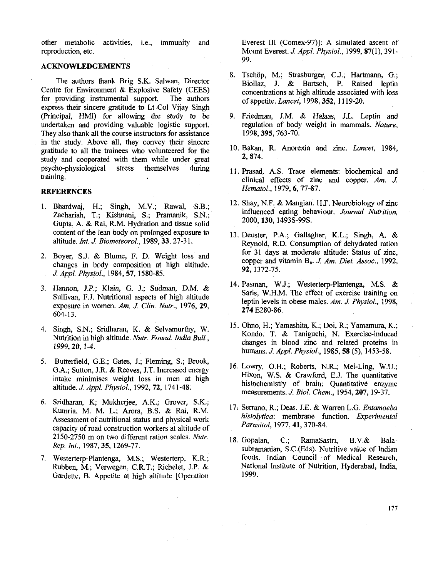other metabolic activities, i.e., immunity and reproduction, etc.

# ACKNOWLEDGEMENTS

The authors thank Brig S.K. Salwan, Director Centre for Environment & Explosive Safety (CEES)<br>for providing instrumental support. The authors for providing instrumental support. express their sincere gratitude to Lt Col Vijay Singh (Principal, HMI) for allowing the study to be undertaken and providing valuable logistic support. They also thank all the course instructors for assistance in the study. Above all, they convey their sincere gratitude to all the trainees who volunteered for the study and cooperated with them while under great psycho-physiological stress themselves during training.

## **REFERENCES**

- 1. Bhardwaj, H.; Singh, M.V.; Rawal, S.B.; Zachariah, T.; Kishnani, S.; Pramanik, S.N.; Gupta, A. & Rai, R.M. Hydration and tissue solid content of the lean body on prolonged exposure to altitude. *Int J. Biometeorol.,* 1989,33,27-3 1.
- 2. Boyer, S.J. & Blume, F. D. Weight loss and changes in body composition at high altitude. *J Appl. Physiol.,* 1984,57, 1580-85.
- 3. Harmon, J.P.; Klain, G. J.; Sudman, D.M. & Sullivan, F.J. Nutritional aspects of high altitude exposure in women. *Am. J. Clin. Nutr.,* 1976,29, 604-13.
- 4. Singh, S.N.; Sridharan, K. & Selvamurthy, W. Nutrition in high altitude. *Nutr. Found. India Bull.,*  1999,20, 1-4.
- 5. Butterfield, G.E.; Gates, J.; Fleming, S.; Brook, G.A.; Sutton, J.R. & Reeves, J.T. Increased energy intake minimises weight loss in men at high altitude. *J Appl. Physiol.,* 1992,72, 1741-48.
- 6. Sridharan, K; Mukherjee, A.K.; Grover, S.K.; Kumria, M. M. L.; Arora, B.S. & Rai, R.M. Assessment of nutritional status and physical work capacity of road construction workers at altitude of 2150-2750 m on two different ration scales. *Nub. Rep Int.,* 1987,35, 1269-77.
- 7. Westerterp-Plantenga, M.S.; Westerterp, K.R.; Ruhben, M.; Venvegen, C.R.T.; Richelet, J.P. & Gardette, B. Appetite at high altitude [Operation

Everest 111 (Comex-97)]: A simulated ascent of Mount Everest. *J. Appl. Physiol.,* 1999,87(1), 391- 99.

- 8. Tschöp, M.; Strasburger, C.J.; Hartmann, G.; Biollaz, J. & Bartsch, P. Raised leptin concentrations at high altitude associated with loss of appetite. *Lancet,* 1998,352, 11 19-20.
- 9. Friedman, J.M. & Halaas, J.L. Leptin and regulation of body weight in mammals. *Nature,*  1998,395,763-70.
- 10. Bakan, R. Anorexia and zinc. *Lancet,* 1984, 2, 874.
- 11. Prasad, A.S. Trace elements: biochemical and clinical effects of zinc and copper. Am. *J*. *Hematol.,* 1979,6,77-87.
- 12. Shay, N.F. & Mangian, H.F. Neurobiology of zinc influenced eating behaviour. *Journal Nutrition,*  2000,130, 1493s-99s.
- 13. Deuster, P.A.; Gallagher, K.L.; Singh, A. & Reynold, R.D. Consumption of dehydrated ration for 31 days at moderate altitude: Status of zinc, copper and vitamin B,. *J. Am. Diet. Assoc.,* 1992, 92, 1372-75.
- 14. Pasman, W.J.; Westerterp-Plantenga, M.S. & Saris. W.H.M. The effect of exercise training on leptin levels in obese males. *Am. J. Physiol.,* 1998, 274 E280-86.
- 15. Ohno, H.; Yamashita, K.; Doi, R.; Yamamura, K.; Kondo, T. & Taniguchi, N. Exercise-induced changes in blood zinc and related proteins in humans. *J. Appl. Physiol.,* 1985,58 (5), 1453-58.
- 16. Lowry, O.H.; Roberts, N.R.; Mei-Ling, W.U.; Hixon, W.S. & Crawford, E.J. The quantitative histochemistry of brain: Quantitative enzyme measurements.J. *Biol. Chem.,* 1954,207, 19-37.
- 17. Serrano, R.; Deas, J.E. & Warren L.G. *Entamoeba histolytica:* membrane function. *Experimenfal Parasifol,* 1977,41,370-84.
- 18. Gopalan, C.; RamaSastri, B.V.& Balasubramanian, S.C.(Eds). Nutritive value of Indian foods. Indian Council of Medical Research, National Institute of Nutrition, Hyderabad, India, 1999.

177